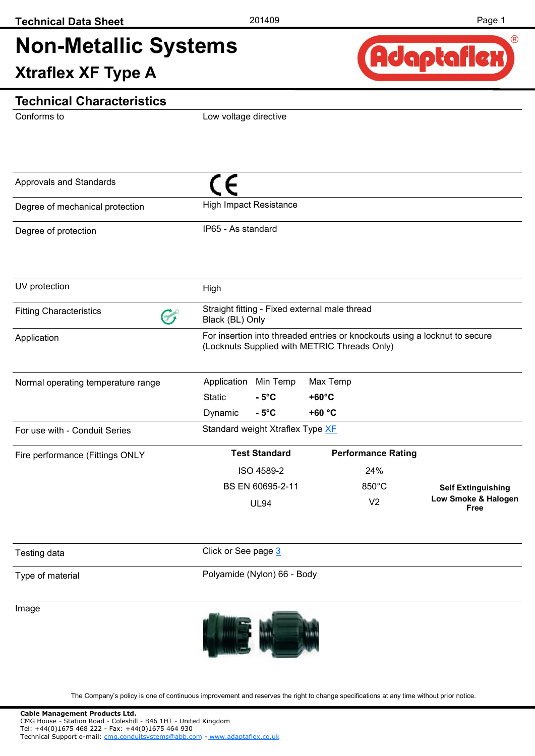# **Non-Metallic Systems Xtraflex XF Type A**



### **Technical Characteristics**

Conforms to

Low voltage directive

| Approvals and Standards              |                                                                                                                            |          |                             |                           |                             |
|--------------------------------------|----------------------------------------------------------------------------------------------------------------------------|----------|-----------------------------|---------------------------|-----------------------------|
| Degree of mechanical protection      | <b>High Impact Resistance</b>                                                                                              |          |                             |                           |                             |
| Degree of protection                 | IP65 - As standard                                                                                                         |          |                             |                           |                             |
| UV protection                        | High                                                                                                                       |          |                             |                           |                             |
| <b>Fitting Characteristics</b><br>67 | Straight fitting - Fixed external male thread<br>Black (BL) Only                                                           |          |                             |                           |                             |
| Application                          | For insertion into threaded entries or knockouts using a locknut to secure<br>(Locknuts Supplied with METRIC Threads Only) |          |                             |                           |                             |
| Normal operating temperature range   | Application<br><b>Static</b><br>$-5^{\circ}$ C                                                                             | Min Temp | Max Temp<br>$+60^{\circ}$ C |                           |                             |
|                                      | Dynamic<br>$-5^{\circ}$ C                                                                                                  |          | $+60 °C$                    |                           |                             |
| For use with - Conduit Series        | Standard weight Xtraflex Type XF                                                                                           |          |                             |                           |                             |
| Fire performance (Fittings ONLY      | <b>Test Standard</b>                                                                                                       |          |                             | <b>Performance Rating</b> |                             |
|                                      | ISO 4589-2                                                                                                                 |          |                             | 24%                       |                             |
|                                      | BS EN 60695-2-11                                                                                                           |          |                             | 850°C                     | <b>Self Extinguishing</b>   |
|                                      | <b>UL94</b>                                                                                                                |          |                             | V <sub>2</sub>            | Low Smoke & Halogen<br>Free |
| Testing data                         | Click or See page 3                                                                                                        |          |                             |                           |                             |
| Type of material                     | Polyamide (Nylon) 66 - Body                                                                                                |          |                             |                           |                             |
| Image                                |                                                                                                                            |          |                             |                           |                             |

The Company's policy is one of continuous improvement and reserves the right to change specifications at any time without prior notice.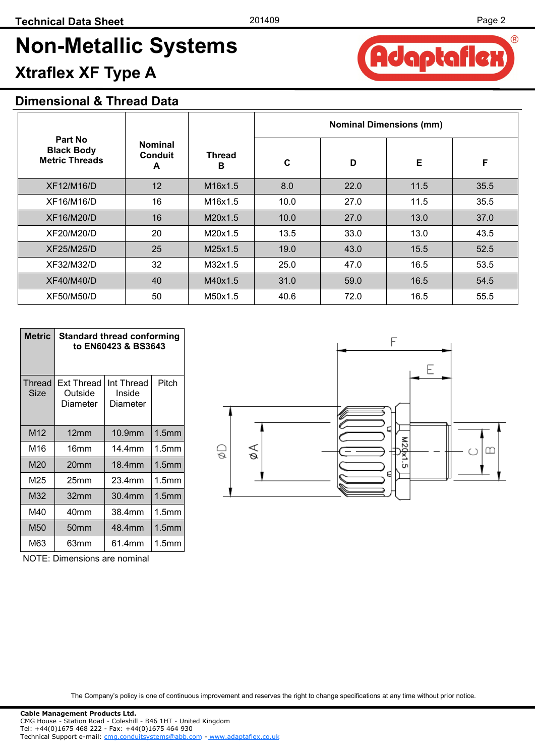**Adaptafle** 

 $(R)$ 

# **Non-Metallic Systems Xtraflex XF Type A**

### **Dimensional & Thread Data**

|                                                       |                                       |             | <b>Nominal Dimensions (mm)</b> |      |      |      |
|-------------------------------------------------------|---------------------------------------|-------------|--------------------------------|------|------|------|
| Part No<br><b>Black Body</b><br><b>Metric Threads</b> | <b>Nominal</b><br><b>Conduit</b><br>A | Thread<br>в | C                              | D    | Е    | F    |
| XF12/M16/D                                            | 12                                    | M16x1.5     | 8.0                            | 22.0 | 11.5 | 35.5 |
| XF16/M16/D                                            | 16                                    | M16x1.5     | 10.0                           | 27.0 | 11.5 | 35.5 |
| XF16/M20/D                                            | 16                                    | M20x1.5     | 10.0                           | 27.0 | 13.0 | 37.0 |
| XF20/M20/D                                            | 20                                    | M20x1.5     | 13.5                           | 33.0 | 13.0 | 43.5 |
| XF25/M25/D                                            | 25                                    | M25x1.5     | 19.0                           | 43.0 | 15.5 | 52.5 |
| XF32/M32/D                                            | 32                                    | M32x1.5     | 25.0                           | 47.0 | 16.5 | 53.5 |
| XF40/M40/D                                            | 40                                    | M40x1.5     | 31.0                           | 59.0 | 16.5 | 54.5 |
| XF50/M50/D                                            | 50                                    | M50x1.5     | 40.6                           | 72.0 | 16.5 | 55.5 |

| Metric          | <b>Standard thread conforming</b><br>to EN60423 & BS3643 |                                  |                   |  |  |
|-----------------|----------------------------------------------------------|----------------------------------|-------------------|--|--|
| Thread<br>Size  | <b>Ext Thread</b><br>Outside<br>Diameter                 | Int Thread<br>Inside<br>Diameter | Pitch             |  |  |
| M <sub>12</sub> | 12mm                                                     | 10.9mm                           | 1.5 <sub>mm</sub> |  |  |
| M16             | 16mm                                                     | 14 4mm                           | 1.5 <sub>mm</sub> |  |  |
| M20             | 20mm                                                     | 18.4mm                           | 1.5 <sub>mm</sub> |  |  |
| M <sub>25</sub> | 25mm                                                     | 23.4mm                           | 1.5mm             |  |  |
| M32             | 32mm                                                     | 30.4mm                           | 1.5 <sub>mm</sub> |  |  |
| M40             | 40mm                                                     | 38.4mm                           | 1.5mm             |  |  |
| M50             | 50 <sub>mm</sub>                                         | 48.4mm                           | 1.5 <sub>mm</sub> |  |  |
| M63             | 63mm                                                     | 61.4mm                           | 1.5mm             |  |  |

F M20x1.5 øΑ  $\mathbb{Q}$  $\infty$ 

F

NOTE: Dimensions are nominal

The Company's policy is one of continuous improvement and reserves the right to change specifications at any time without prior notice.